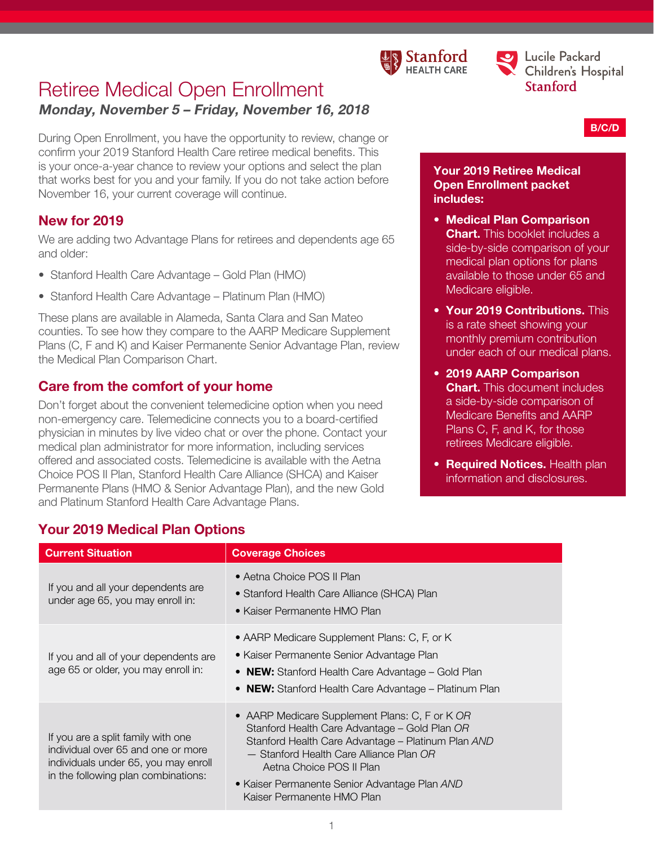



B/C/D

# Retiree Medical Open Enrollment Monday, November 5 – Friday, November 16, 2018

During Open Enrollment, you have the opportunity to review, change or confirm your 2019 Stanford Health Care retiree medical benefits. This is your once-a-year chance to review your options and select the plan that works best for you and your family. If you do not take action before November 16, your current coverage will continue.

# New for 2019

We are adding two Advantage Plans for retirees and dependents age 65 and older:

- Stanford Health Care Advantage Gold Plan (HMO)
- Stanford Health Care Advantage Platinum Plan (HMO)

These plans are available in Alameda, Santa Clara and San Mateo counties. To see how they compare to the AARP Medicare Supplement Plans (C, F and K) and Kaiser Permanente Senior Advantage Plan, review the Medical Plan Comparison Chart.

# Care from the comfort of your home

Don't forget about the convenient telemedicine option when you need non-emergency care. Telemedicine connects you to a board-certified physician in minutes by live video chat or over the phone. Contact your medical plan administrator for more information, including services offered and associated costs. Telemedicine is available with the Aetna Choice POS II Plan, Stanford Health Care Alliance (SHCA) and Kaiser Permanente Plans (HMO & Senior Advantage Plan), and the new Gold and Platinum Stanford Health Care Advantage Plans.

#### Your 2019 Retiree Medical Open Enrollment packet includes:

- Medical Plan Comparison **Chart.** This booklet includes a side-by-side comparison of your medical plan options for plans available to those under 65 and Medicare eligible.
- Your 2019 Contributions. This is a rate sheet showing your monthly premium contribution under each of our medical plans.
- 2019 AARP Comparison **Chart.** This document includes a side-by-side comparison of Medicare Benefits and AARP Plans C, F, and K, for those retirees Medicare eligible.
- **Required Notices.** Health plan information and disclosures.

| <b>Current Situation</b>                                                                                                                                | <b>Coverage Choices</b>                                                                                                                                                                                                                                                                                     |
|---------------------------------------------------------------------------------------------------------------------------------------------------------|-------------------------------------------------------------------------------------------------------------------------------------------------------------------------------------------------------------------------------------------------------------------------------------------------------------|
| If you and all your dependents are<br>under age 65, you may enroll in:                                                                                  | • Aetna Choice POS II Plan<br>• Stanford Health Care Alliance (SHCA) Plan<br>• Kaiser Permanente HMO Plan                                                                                                                                                                                                   |
| If you and all of your dependents are<br>age 65 or older, you may enroll in:                                                                            | • AARP Medicare Supplement Plans: C, F, or K<br>• Kaiser Permanente Senior Advantage Plan<br>• NEW: Stanford Health Care Advantage - Gold Plan<br>• NEW: Stanford Health Care Advantage – Platinum Plan                                                                                                     |
| If you are a split family with one<br>individual over 65 and one or more<br>individuals under 65, you may enroll<br>in the following plan combinations: | • AARP Medicare Supplement Plans: C, F or K OR<br>Stanford Health Care Advantage - Gold Plan OR<br>Stanford Health Care Advantage - Platinum Plan AND<br>- Stanford Health Care Alliance Plan OR<br>Aetna Choice POS II Plan<br>• Kaiser Permanente Senior Advantage Plan AND<br>Kaiser Permanente HMO Plan |

# Your 2019 Medical Plan Options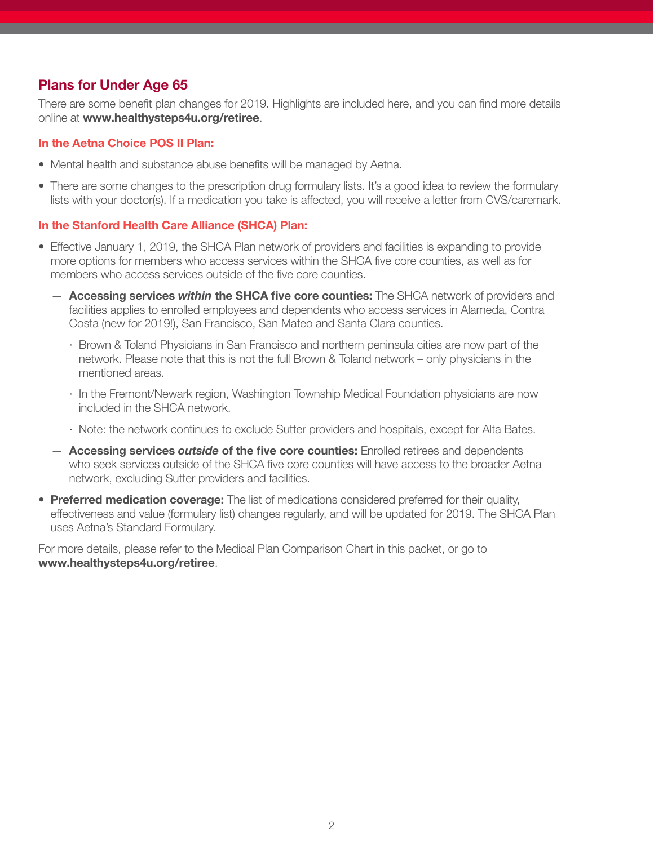# Plans for Under Age 65

There are some benefit plan changes for 2019. Highlights are included here, and you can find more details online at www.healthysteps4u.org/retiree.

#### In the Aetna Choice POS II Plan:

- Mental health and substance abuse benefits will be managed by Aetna.
- There are some changes to the prescription drug formulary lists. It's a good idea to review the formulary lists with your doctor(s). If a medication you take is affected, you will receive a letter from CVS/caremark.

#### In the Stanford Health Care Alliance (SHCA) Plan:

- Effective January 1, 2019, the SHCA Plan network of providers and facilities is expanding to provide more options for members who access services within the SHCA five core counties, as well as for members who access services outside of the five core counties.
	- Accessing services *within* the SHCA five core counties: The SHCA network of providers and facilities applies to enrolled employees and dependents who access services in Alameda, Contra Costa (new for 2019!), San Francisco, San Mateo and Santa Clara counties.
		- · Brown & Toland Physicians in San Francisco and northern peninsula cities are now part of the network. Please note that this is not the full Brown & Toland network – only physicians in the mentioned areas.
		- · In the Fremont/Newark region, Washington Township Medical Foundation physicians are now included in the SHCA network.
		- · Note: the network continues to exclude Sutter providers and hospitals, except for Alta Bates.
	- Accessing services *outside* of the five core counties: Enrolled retirees and dependents who seek services outside of the SHCA five core counties will have access to the broader Aetna network, excluding Sutter providers and facilities.
- Preferred medication coverage: The list of medications considered preferred for their quality, effectiveness and value (formulary list) changes regularly, and will be updated for 2019. The SHCA Plan uses Aetna's Standard Formulary.

For more details, please refer to the Medical Plan Comparison Chart in this packet, or go to www.healthysteps4u.org/retiree.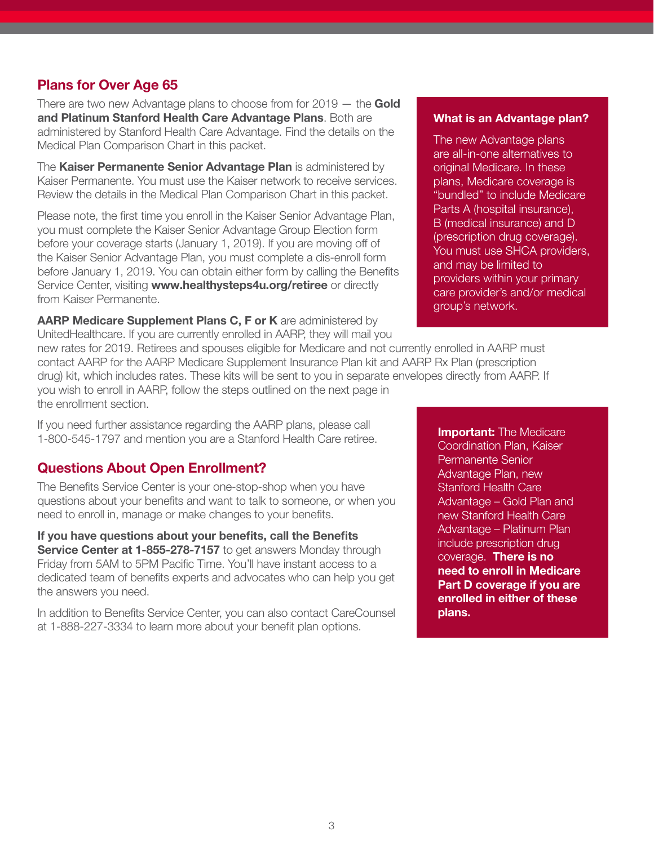### Plans for Over Age 65

There are two new Advantage plans to choose from for  $2019 -$  the Gold and Platinum Stanford Health Care Advantage Plans. Both are administered by Stanford Health Care Advantage. Find the details on the Medical Plan Comparison Chart in this packet.

The Kaiser Permanente Senior Advantage Plan is administered by Kaiser Permanente. You must use the Kaiser network to receive services. Review the details in the Medical Plan Comparison Chart in this packet.

Please note, the first time you enroll in the Kaiser Senior Advantage Plan, you must complete the Kaiser Senior Advantage Group Election form before your coverage starts (January 1, 2019). If you are moving off of the Kaiser Senior Advantage Plan, you must complete a dis-enroll form before January 1, 2019. You can obtain either form by calling the Benefits Service Center, visiting www.healthysteps4u.org/retiree or directly from Kaiser Permanente.

AARP Medicare Supplement Plans C, F or K are administered by UnitedHealthcare. If you are currently enrolled in AARP, they will mail you

#### What is an Advantage plan?

The new Advantage plans are all-in-one alternatives to original Medicare. In these plans, Medicare coverage is "bundled" to include Medicare Parts A (hospital insurance). B (medical insurance) and D (prescription drug coverage). You must use SHCA providers, and may be limited to providers within your primary care provider's and/or medical group's network.

new rates for 2019. Retirees and spouses eligible for Medicare and not currently enrolled in AARP must contact AARP for the AARP Medicare Supplement Insurance Plan kit and AARP Rx Plan (prescription drug) kit, which includes rates. These kits will be sent to you in separate envelopes directly from AARP. If you wish to enroll in AARP, follow the steps outlined on the next page in the enrollment section.

If you need further assistance regarding the AARP plans, please call 1-800-545-1797 and mention you are a Stanford Health Care retiree.

# Questions About Open Enrollment?

The Benefits Service Center is your one-stop-shop when you have questions about your benefits and want to talk to someone, or when you need to enroll in, manage or make changes to your benefits.

If you have questions about your benefits, call the Benefits Service Center at 1-855-278-7157 to get answers Monday through Friday from 5AM to 5PM Pacific Time. You'll have instant access to a dedicated team of benefits experts and advocates who can help you get the answers you need.

In addition to Benefits Service Center, you can also contact CareCounsel at 1-888-227-3334 to learn more about your benefit plan options.

**Important:** The Medicare Coordination Plan, Kaiser Permanente Senior Advantage Plan, new Stanford Health Care Advantage – Gold Plan and new Stanford Health Care Advantage – Platinum Plan include prescription drug coverage. There is no need to enroll in Medicare Part D coverage if you are enrolled in either of these plans.